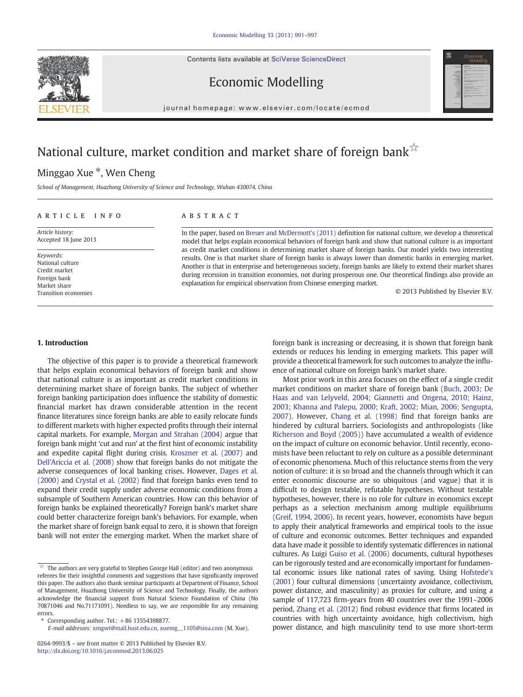Contents lists available at [SciVerse ScienceDirect](http://www.sciencedirect.com/science/journal/02649993)





Economic Modelling

journal homepage: www.elsevier.com/locate/ecmod

# National culture, market condition and market share of foreign bank $\overline{x}$

## Minggao Xue \*, Wen Cheng

School of Management, Huazhong University of Science and Technology, Wuhan 430074, China

### article info abstract

Article history: Accepted 18 June 2013

Keywords: National culture Credit market Foreign bank Market share Transition economies

In the paper, based on [Breuer and McDermott's \(2011\)](#page--1-0) definition for national culture, we develop a theoretical model that helps explain economical behaviors of foreign bank and show that national culture is as important as credit market conditions in determining market share of foreign banks. Our model yields two interesting results. One is that market share of foreign banks is always lower than domestic banks in emerging market. Another is that in enterprise and heterogeneous society, foreign banks are likely to extend their market shares during recession in transition economies, not during prosperous one. Our theoretical findings also provide an explanation for empirical observation from Chinese emerging market.

© 2013 Published by Elsevier B.V.

### 1. Introduction

The objective of this paper is to provide a theoretical framework that helps explain economical behaviors of foreign bank and show that national culture is as important as credit market conditions in determining market share of foreign banks. The subject of whether foreign banking participation does influence the stability of domestic financial market has drawn considerable attention in the recent finance literatures since foreign banks are able to easily relocate funds to different markets with higher expected profits through their internal capital markets. For example, [Morgan and Strahan \(2004\)](#page--1-0) argue that foreign bank might 'cut and run' at the first hint of economic instability and expedite capital flight during crisis. [Kroszner et al. \(2007\)](#page--1-0) and [Dell'Ariccia et al. \(2008\)](#page--1-0) show that foreign banks do not mitigate the adverse consequences of local banking crises. However, [Dages et al.](#page--1-0) [\(2000\)](#page--1-0) and [Crystal et al. \(2002\)](#page--1-0) find that foreign banks even tend to expand their credit supply under adverse economic conditions from a subsample of Southern American countries. How can this behavior of foreign banks be explained theoretically? Foreign bank's market share could better characterize foreign bank's behaviors. For example, when the market share of foreign bank equal to zero, it is shown that foreign bank will not enter the emerging market. When the market share of foreign bank is increasing or decreasing, it is shown that foreign bank extends or reduces his lending in emerging markets. This paper will provide a theoretical framework for such outcomes to analyze the influence of national culture on foreign bank's market share.

Most prior work in this area focuses on the effect of a single credit market conditions on market share of foreign bank ([Buch, 2003; De](#page--1-0) [Haas and van Lelyveld, 2004; Giannetti and Ongena, 2010; Hainz,](#page--1-0) [2003; Khanna and Palepu, 2000; Kraft, 2002; Mian, 2006; Sengupta,](#page--1-0) [2007\)](#page--1-0). However, [Chang et al. \(1998\)](#page--1-0) find that foreign banks are hindered by cultural barriers. Sociologists and anthropologists (like [Richerson and Boyd \(2005\)\)](#page--1-0) have accumulated a wealth of evidence on the impact of culture on economic behavior. Until recently, economists have been reluctant to rely on culture as a possible determinant of economic phenomena. Much of this reluctance stems from the very notion of culture: it is so broad and the channels through which it can enter economic discourse are so ubiquitous (and vague) that it is difficult to design testable, refutable hypotheses. Without testable hypotheses, however, there is no role for culture in economics except perhaps as a selection mechanism among multiple equilibriums [\(Greif, 1994, 2006\)](#page--1-0). In recent years, however, economists have begun to apply their analytical frameworks and empirical tools to the issue of culture and economic outcomes. Better techniques and expanded data have made it possible to identify systematic differences in national cultures. As Luigi [Guiso et al. \(2006\)](#page--1-0) documents, cultural hypotheses can be rigorously tested and are economically important for fundamental economic issues like national rates of saving. Using [Hofstede's](#page--1-0) [\(2001\)](#page--1-0) four cultural dimensions (uncertainty avoidance, collectivism, power distance, and masculinity) as proxies for culture, and using a sample of 117,723 firm-years from 40 countries over the 1991–2006 period, [Zhang et al. \(2012\)](#page--1-0) find robust evidence that firms located in countries with high uncertainty avoidance, high collectivism, high power distance, and high masculinity tend to use more short-term

 $\overline{\mathbf{r}}$  The authors are very grateful to Stephen George Hall (editor) and two anonymous referees for their insightful comments and suggestions that have significantly improved this paper. The authors also thank seminar participants at Department of Finance, School of Management, Huazhong University of Science and Technology. Finally, the authors acknowledge the financial support from Natural Science Foundation of China (No 70871046 and No.71171091). Needless to say, we are responsible for any remaining errors.

<sup>⁎</sup> Corresponding author. Tel.: +86 13554398877.

E-mail addresses: [xmgwt@mail.hust.edu.cn,](mailto:xmgwt@mail.hust.edu.cn) [xuemg\\_\\_1105@sina.com](mailto:xuemg__1105@sina.com) (M. Xue).

<sup>0264-9993/\$</sup> – see front matter © 2013 Published by Elsevier B.V. <http://dx.doi.org/10.1016/j.econmod.2013.06.025>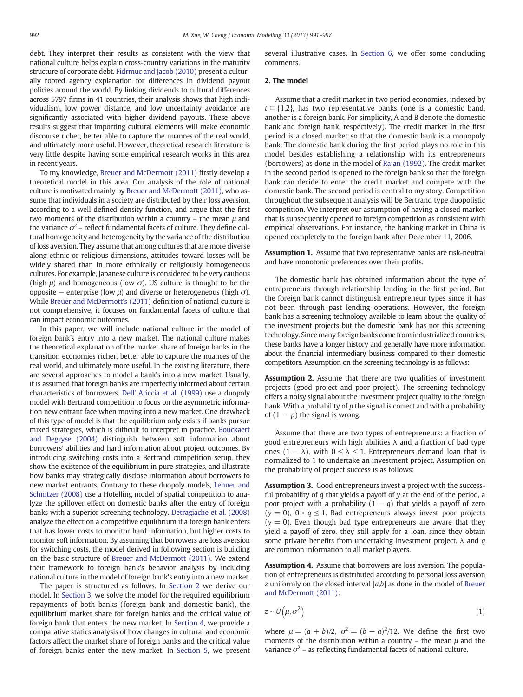debt. They interpret their results as consistent with the view that national culture helps explain cross-country variations in the maturity structure of corporate debt. [Fidrmuc and Jacob \(2010\)](#page--1-0) present a culturally rooted agency explanation for differences in dividend payout policies around the world. By linking dividends to cultural differences across 5797 firms in 41 countries, their analysis shows that high individualism, low power distance, and low uncertainty avoidance are significantly associated with higher dividend payouts. These above results suggest that importing cultural elements will make economic discourse richer, better able to capture the nuances of the real world, and ultimately more useful. However, theoretical research literature is very little despite having some empirical research works in this area in recent years.

To my knowledge, [Breuer and McDermott \(2011\)](#page--1-0) firstly develop a theoretical model in this area. Our analysis of the role of national culture is motivated mainly by [Breuer and McDermott \(2011\),](#page--1-0) who assume that individuals in a society are distributed by their loss aversion, according to a well-defined density function, and argue that the first two moments of the distribution within a country – the mean  $\mu$  and the variance  $\sigma^2$  – reflect fundamental facets of culture. They define cultural homogeneity and heterogeneity by the variance of the distribution of loss aversion. They assume that among cultures that are more diverse along ethnic or religious dimensions, attitudes toward losses will be widely shared than in more ethnically or religiously homogeneous cultures. For example, Japanese culture is considered to be very cautious (high  $\mu$ ) and homogeneous (low  $\sigma$ ). US culture is thought to be the opposite – enterprise (low  $\mu$ ) and diverse or heterogeneous (high  $\sigma$ ). While [Breuer and McDermott's \(2011\)](#page--1-0) definition of national culture is not comprehensive, it focuses on fundamental facets of culture that can impact economic outcomes.

In this paper, we will include national culture in the model of foreign bank's entry into a new market. The national culture makes the theoretical explanation of the market share of foreign banks in the transition economies richer, better able to capture the nuances of the real world, and ultimately more useful. In the existing literature, there are several approaches to model a bank's into a new market. Usually, it is assumed that foreign banks are imperfectly informed about certain characteristics of borrowers. [Dell' Ariccia et al. \(1999\)](#page--1-0) use a duopoly model with Bertrand competition to focus on the asymmetric information new entrant face when moving into a new market. One drawback of this type of model is that the equilibrium only exists if banks pursue mixed strategies, which is difficult to interpret in practice. [Bouckaert](#page--1-0) [and Degryse \(2004\)](#page--1-0) distinguish between soft information about borrowers' abilities and hard information about project outcomes. By introducing switching costs into a Bertrand competition setup, they show the existence of the equilibrium in pure strategies, and illustrate how banks may strategically disclose information about borrowers to new market entrants. Contrary to these duopoly models, [Lehner and](#page--1-0) [Schnitzer \(2008\)](#page--1-0) use a Hotelling model of spatial competition to analyze the spillover effect on domestic banks after the entry of foreign banks with a superior screening technology. [Detragiache et al. \(2008\)](#page--1-0) analyze the effect on a competitive equilibrium if a foreign bank enters that has lower costs to monitor hard information, but higher costs to monitor soft information. By assuming that borrowers are loss aversion for switching costs, the model derived in following section is building on the basic structure of [Breuer and McDermott \(2011\).](#page--1-0) We extend their framework to foreign bank's behavior analysis by including national culture in the model of foreign bank's entry into a new market.

The paper is structured as follows. In Section 2 we derive our model. In [Section 3,](#page--1-0) we solve the model for the required equilibrium repayments of both banks (foreign bank and domestic bank), the equilibrium market share for foreign banks and the critical value of foreign bank that enters the new market. In [Section 4](#page--1-0), we provide a comparative statics analysis of how changes in cultural and economic factors affect the market share of foreign banks and the critical value of foreign banks enter the new market. In [Section 5,](#page--1-0) we present

several illustrative cases. In [Section 6,](#page--1-0) we offer some concluding comments.

### 2. The model

Assume that a credit market in two period economies, indexed by  $t \in \{1,2\}$ , has two representative banks (one is a domestic band, another is a foreign bank. For simplicity, A and B denote the domestic bank and foreign bank, respectively). The credit market in the first period is a closed market so that the domestic bank is a monopoly bank. The domestic bank during the first period plays no role in this model besides establishing a relationship with its entrepreneurs (borrowers) as done in the model of [Rajan \(1992\).](#page--1-0) The credit market in the second period is opened to the foreign bank so that the foreign bank can decide to enter the credit market and compete with the domestic bank. The second period is central to my story. Competition throughout the subsequent analysis will be Bertrand type duopolistic competition. We interpret our assumption of having a closed market that is subsequently opened to foreign competition as consistent with empirical observations. For instance, the banking market in China is opened completely to the foreign bank after December 11, 2006.

Assumption 1. Assume that two representative banks are risk-neutral and have monotonic preferences over their profits.

The domestic bank has obtained information about the type of entrepreneurs through relationship lending in the first period. But the foreign bank cannot distinguish entrepreneur types since it has not been through past lending operations. However, the foreign bank has a screening technology available to learn about the quality of the investment projects but the domestic bank has not this screening technology. Since many foreign banks come from industrialized countries, these banks have a longer history and generally have more information about the financial intermediary business compared to their domestic competitors. Assumption on the screening technology is as follows:

Assumption 2. Assume that there are two qualities of investment projects (good project and poor project). The screening technology offers a noisy signal about the investment project quality to the foreign bank. With a probability of  $p$  the signal is correct and with a probability of  $(1 - p)$  the signal is wrong.

Assume that there are two types of entrepreneurs: a fraction of good entrepreneurs with high abilities  $\lambda$  and a fraction of bad type ones (1 −  $\lambda$ ), with  $0 \le \lambda \le 1$ . Entrepreneurs demand loan that is normalized to 1 to undertake an investment project. Assumption on the probability of project success is as follows:

Assumption 3. Good entrepreneurs invest a project with the successful probability of  $q$  that yields a payoff of  $y$  at the end of the period, a poor project with a probability  $(1 - q)$  that yields a payoff of zero  $(y = 0)$ ,  $0 < q \le 1$ . Bad entrepreneurs always invest poor projects  $(y = 0)$ . Even though bad type entrepreneurs are aware that they yield a payoff of zero, they still apply for a loan, since they obtain some private benefits from undertaking investment project.  $\lambda$  and q are common information to all market players.

Assumption 4. Assume that borrowers are loss aversion. The population of entrepreneurs is distributed according to personal loss aversion *z* uniformly on the closed interval  $[a,b]$  as done in the model of [Breuer](#page--1-0) [and McDermott \(2011\):](#page--1-0)

$$
z \sim U\left(\mu, \sigma^2\right) \tag{1}
$$

where  $\mu = (a + b)/2$ ,  $\sigma^2 = (b - a)^2/12$ . We define the first two moments of the distribution within a country – the mean  $\mu$  and the variance  $\sigma^2$  – as reflecting fundamental facets of national culture.